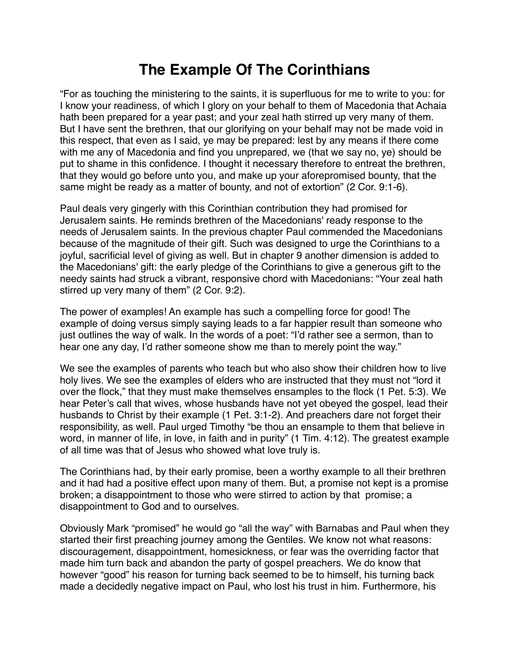## **The Example Of The Corinthians**

"For as touching the ministering to the saints, it is superfluous for me to write to you: for I know your readiness, of which I glory on your behalf to them of Macedonia that Achaia hath been prepared for a year past; and your zeal hath stirred up very many of them. But I have sent the brethren, that our glorifying on your behalf may not be made void in this respect, that even as I said, ye may be prepared: lest by any means if there come with me any of Macedonia and find you unprepared, we (that we say no, ye) should be put to shame in this confidence. I thought it necessary therefore to entreat the brethren, that they would go before unto you, and make up your aforepromised bounty, that the same might be ready as a matter of bounty, and not of extortion" (2 Cor. 9:1-6).

Paul deals very gingerly with this Corinthian contribution they had promised for Jerusalem saints. He reminds brethren of the Macedonians' ready response to the needs of Jerusalem saints. In the previous chapter Paul commended the Macedonians because of the magnitude of their gift. Such was designed to urge the Corinthians to a joyful, sacrificial level of giving as well. But in chapter 9 another dimension is added to the Macedonians' gift: the early pledge of the Corinthians to give a generous gift to the needy saints had struck a vibrant, responsive chord with Macedonians: "Your zeal hath stirred up very many of them" (2 Cor. 9:2).

The power of examples! An example has such a compelling force for good! The example of doing versus simply saying leads to a far happier result than someone who just outlines the way of walk. In the words of a poet: "I'd rather see a sermon, than to hear one any day, I'd rather someone show me than to merely point the way."

We see the examples of parents who teach but who also show their children how to live holy lives. We see the examples of elders who are instructed that they must not "lord it over the flock," that they must make themselves ensamples to the flock (1 Pet. 5:3). We hear Peter's call that wives, whose husbands have not yet obeyed the gospel, lead their husbands to Christ by their example (1 Pet. 3:1-2). And preachers dare not forget their responsibility, as well. Paul urged Timothy "be thou an ensample to them that believe in word, in manner of life, in love, in faith and in purity" (1 Tim. 4:12). The greatest example of all time was that of Jesus who showed what love truly is.

The Corinthians had, by their early promise, been a worthy example to all their brethren and it had had a positive effect upon many of them. But, a promise not kept is a promise broken; a disappointment to those who were stirred to action by that promise; a disappointment to God and to ourselves.

Obviously Mark "promised" he would go "all the way" with Barnabas and Paul when they started their first preaching journey among the Gentiles. We know not what reasons: discouragement, disappointment, homesickness, or fear was the overriding factor that made him turn back and abandon the party of gospel preachers. We do know that however "good" his reason for turning back seemed to be to himself, his turning back made a decidedly negative impact on Paul, who lost his trust in him. Furthermore, his